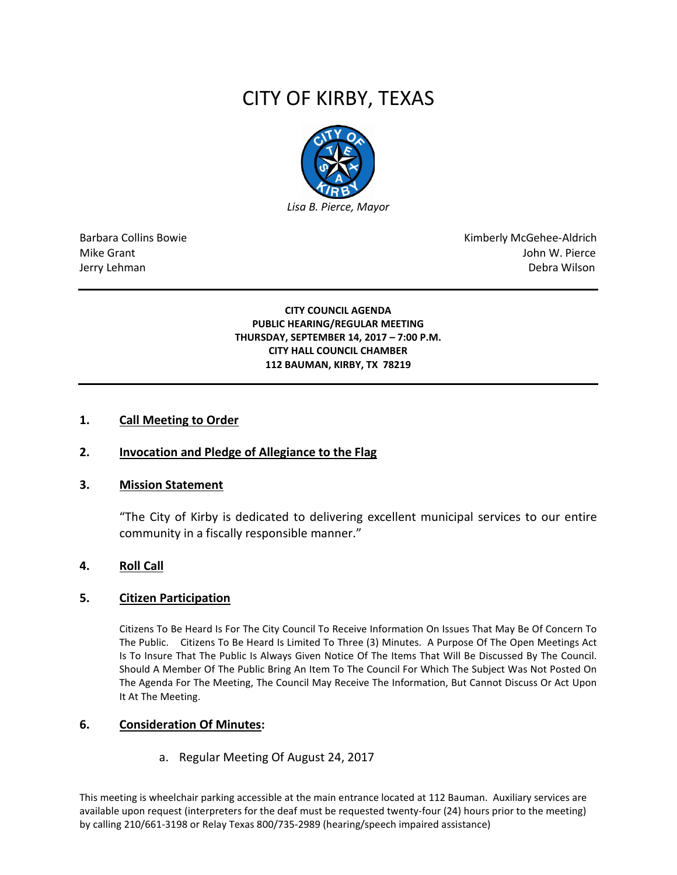# CITY OF KIRBY, TEXAS



Barbara Collins Bowie **Kimberly McGehee-Aldrich** Mike Grant John W. Pierce Jerry Lehman Debra Wilson

## **CITY COUNCIL AGENDA PUBLIC HEARING/REGULAR MEETING THURSDAY, SEPTEMBER 14, 2017 – 7:00 P.M. CITY HALL COUNCIL CHAMBER 112 BAUMAN, KIRBY, TX 78219**

## **1. Call Meeting to Order**

# **2. Invocation and Pledge of Allegiance to the Flag**

## **3. Mission Statement**

"The City of Kirby is dedicated to delivering excellent municipal services to our entire community in a fiscally responsible manner."

## **4. Roll Call**

## **5. Citizen Participation**

Citizens To Be Heard Is For The City Council To Receive Information On Issues That May Be Of Concern To The Public. Citizens To Be Heard Is Limited To Three (3) Minutes. A Purpose Of The Open Meetings Act Is To Insure That The Public Is Always Given Notice Of The Items That Will Be Discussed By The Council. Should A Member Of The Public Bring An Item To The Council For Which The Subject Was Not Posted On The Agenda For The Meeting, The Council May Receive The Information, But Cannot Discuss Or Act Upon It At The Meeting.

## **6. Consideration Of Minutes:**

a. Regular Meeting Of August 24, 2017

This meeting is wheelchair parking accessible at the main entrance located at 112 Bauman. Auxiliary services are available upon request (interpreters for the deaf must be requested twenty-four (24) hours prior to the meeting) by calling 210/661-3198 or Relay Texas 800/735-2989 (hearing/speech impaired assistance)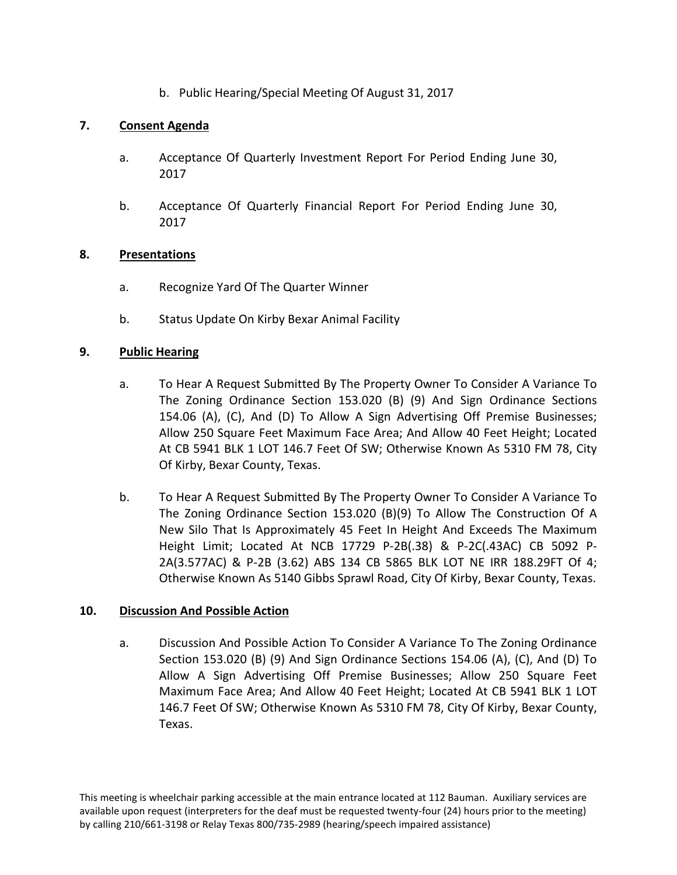b. Public Hearing/Special Meeting Of August 31, 2017

# **7. Consent Agenda**

- a. Acceptance Of Quarterly Investment Report For Period Ending June 30, 2017
- b. Acceptance Of Quarterly Financial Report For Period Ending June 30, 2017

# **8. Presentations**

- a. Recognize Yard Of The Quarter Winner
- b. Status Update On Kirby Bexar Animal Facility

# **9. Public Hearing**

- a. To Hear A Request Submitted By The Property Owner To Consider A Variance To The Zoning Ordinance Section 153.020 (B) (9) And Sign Ordinance Sections 154.06 (A), (C), And (D) To Allow A Sign Advertising Off Premise Businesses; Allow 250 Square Feet Maximum Face Area; And Allow 40 Feet Height; Located At CB 5941 BLK 1 LOT 146.7 Feet Of SW; Otherwise Known As 5310 FM 78, City Of Kirby, Bexar County, Texas.
- b. To Hear A Request Submitted By The Property Owner To Consider A Variance To The Zoning Ordinance Section 153.020 (B)(9) To Allow The Construction Of A New Silo That Is Approximately 45 Feet In Height And Exceeds The Maximum Height Limit; Located At NCB 17729 P-2B(.38) & P-2C(.43AC) CB 5092 P-2A(3.577AC) & P-2B (3.62) ABS 134 CB 5865 BLK LOT NE IRR 188.29FT Of 4; Otherwise Known As 5140 Gibbs Sprawl Road, City Of Kirby, Bexar County, Texas.

# **10. Discussion And Possible Action**

a. Discussion And Possible Action To Consider A Variance To The Zoning Ordinance Section 153.020 (B) (9) And Sign Ordinance Sections 154.06 (A), (C), And (D) To Allow A Sign Advertising Off Premise Businesses; Allow 250 Square Feet Maximum Face Area; And Allow 40 Feet Height; Located At CB 5941 BLK 1 LOT 146.7 Feet Of SW; Otherwise Known As 5310 FM 78, City Of Kirby, Bexar County, Texas.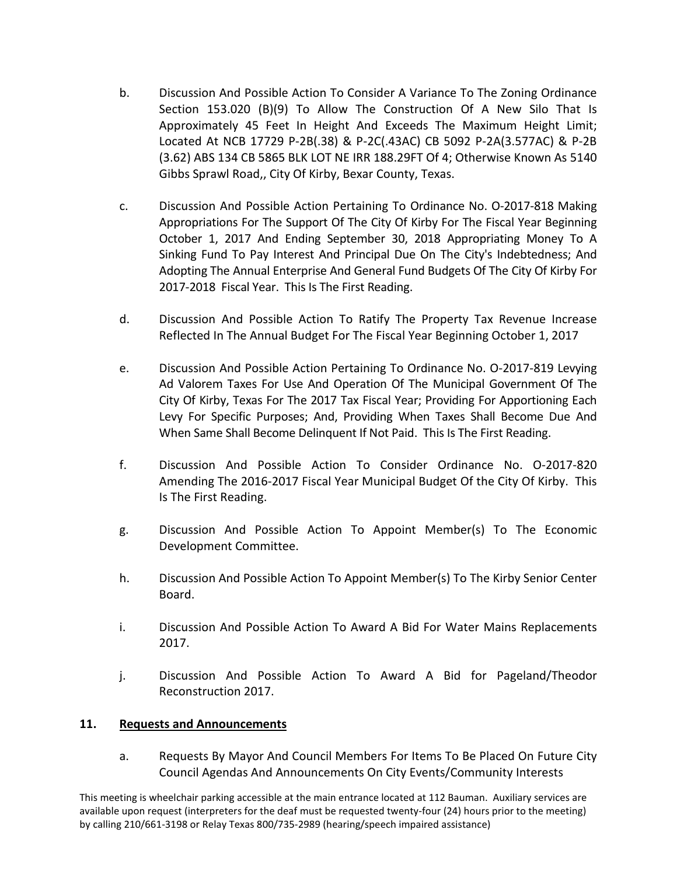- b. Discussion And Possible Action To Consider A Variance To The Zoning Ordinance Section 153.020 (B)(9) To Allow The Construction Of A New Silo That Is Approximately 45 Feet In Height And Exceeds The Maximum Height Limit; Located At NCB 17729 P-2B(.38) & P-2C(.43AC) CB 5092 P-2A(3.577AC) & P-2B (3.62) ABS 134 CB 5865 BLK LOT NE IRR 188.29FT Of 4; Otherwise Known As 5140 Gibbs Sprawl Road,, City Of Kirby, Bexar County, Texas.
- c. Discussion And Possible Action Pertaining To Ordinance No. O-2017-818 Making Appropriations For The Support Of The City Of Kirby For The Fiscal Year Beginning October 1, 2017 And Ending September 30, 2018 Appropriating Money To A Sinking Fund To Pay Interest And Principal Due On The City's Indebtedness; And Adopting The Annual Enterprise And General Fund Budgets Of The City Of Kirby For 2017-2018 Fiscal Year. This Is The First Reading.
- d. Discussion And Possible Action To Ratify The Property Tax Revenue Increase Reflected In The Annual Budget For The Fiscal Year Beginning October 1, 2017
- e. Discussion And Possible Action Pertaining To Ordinance No. O-2017-819 Levying Ad Valorem Taxes For Use And Operation Of The Municipal Government Of The City Of Kirby, Texas For The 2017 Tax Fiscal Year; Providing For Apportioning Each Levy For Specific Purposes; And, Providing When Taxes Shall Become Due And When Same Shall Become Delinquent If Not Paid. This Is The First Reading.
- f. Discussion And Possible Action To Consider Ordinance No. O-2017-820 Amending The 2016-2017 Fiscal Year Municipal Budget Of the City Of Kirby. This Is The First Reading.
- g. Discussion And Possible Action To Appoint Member(s) To The Economic Development Committee.
- h. Discussion And Possible Action To Appoint Member(s) To The Kirby Senior Center Board.
- i. Discussion And Possible Action To Award A Bid For Water Mains Replacements 2017.
- j. Discussion And Possible Action To Award A Bid for Pageland/Theodor Reconstruction 2017.

# **11. Requests and Announcements**

a. Requests By Mayor And Council Members For Items To Be Placed On Future City Council Agendas And Announcements On City Events/Community Interests

This meeting is wheelchair parking accessible at the main entrance located at 112 Bauman. Auxiliary services are available upon request (interpreters for the deaf must be requested twenty-four (24) hours prior to the meeting) by calling 210/661-3198 or Relay Texas 800/735-2989 (hearing/speech impaired assistance)